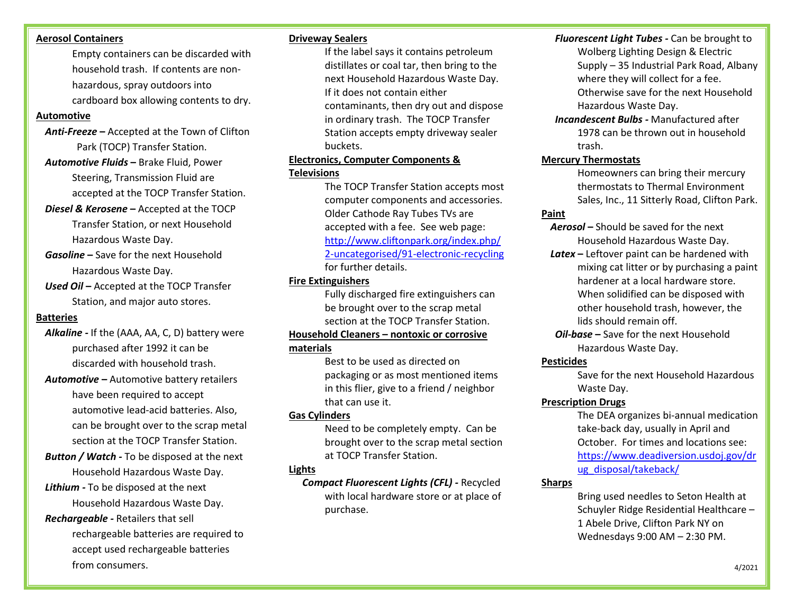#### **Aerosol Containers**

Empty containers can be discarded with household trash. If contents are nonhazardous, spray outdoors into cardboard box allowing contents to dry.

#### **Automotive**

- *Anti-Freeze* **–** Accepted at the Town of Clifton Park (TOCP) Transfer Station.
- *Automotive Fluids* **–** Brake Fluid, Power Steering, Transmission Fluid are accepted at the TOCP Transfer Station.
- *Diesel & Kerosene* **–** Accepted at the TOCP Transfer Station, or next Household Hazardous Waste Day.
- *Gasoline* **–** Save for the next Household Hazardous Waste Day.
- *Used Oil* **–** Accepted at the TOCP Transfer Station, and major auto stores.

#### **Batteries**

- *Alkaline -* If the (AAA, AA, C, D) battery were purchased after 1992 it can be discarded with household trash.
- *Automotive* **–** Automotive battery retailers have been required to accept automotive lead-acid batteries. Also, can be brought over to the scrap metal section at the TOCP Transfer Station.
- *Button / Watch -* To be disposed at the next Household Hazardous Waste Day. *Lithium -* To be disposed at the next

Household Hazardous Waste Day.

*Rechargeable -* Retailers that sell

rechargeable batteries are required to accept used rechargeable batteries from consumers.

#### **Driveway Sealers**

If the label says it contains petroleum distillates or coal tar, then bring to the next Household Hazardous Waste Day. If it does not contain either contaminants, then dry out and dispose in ordinary trash. The TOCP Transfer Station accepts empty driveway sealer buckets.

#### **Electronics, Computer Components & Televisions**

The TOCP Transfer Station accepts most computer components and accessories. Older Cathode Ray Tubes TVs are accepted with a fee. See web page: [http://www.cliftonpark.org/index.php/](http://www.cliftonpark.org/index.php/2-uncategorised/91-electronic-recycling) [2-uncategorised/91-electronic-recycling](http://www.cliftonpark.org/index.php/2-uncategorised/91-electronic-recycling) for further details.

#### **Fire Extinguishers**

Fully discharged fire extinguishers can be brought over to the scrap metal section at the TOCP Transfer Station.

#### **Household Cleaners – nontoxic or corrosive materials**

Best to be used as directed on packaging or as most mentioned items in this flier, give to a friend / neighbor that can use it.

#### **Gas Cylinders**

Need to be completely empty. Can be brought over to the scrap metal section at TOCP Transfer Station.

#### **Lights**

*Compact Fluorescent Lights (CFL) -* Recycled with local hardware store or at place of purchase.

#### *Fluorescent Light Tubes -* Can be brought to

- Wolberg Lighting Design & Electric Supply – 35 Industrial Park Road, Albany where they will collect for a fee. Otherwise save for the next Household Hazardous Waste Day.
- *Incandescent Bulbs -* Manufactured after 1978 can be thrown out in household trash.

#### **Mercury Thermostats**

Homeowners can bring their mercury thermostats to Thermal Environment Sales, Inc., 11 Sitterly Road, Clifton Park.

#### **Paint**

*Aerosol* **–** Should be saved for the next Household Hazardous Waste Day.

- *Latex* **–** Leftover paint can be hardened with mixing cat litter or by purchasing a paint hardener at a local hardware store. When solidified can be disposed with other household trash, however, the lids should remain off.
- *Oil-base* **–** Save for the next Household Hazardous Waste Day.

#### **Pesticides**

Save for the next Household Hazardous Waste Day.

#### **Prescription Drugs**

The DEA organizes bi-annual medication take-back day, usually in April and October. For times and locations see: [https://www.deadiversion.usdoj.gov/dr](https://www.deadiversion.usdoj.gov/drug_disposal/takeback/) [ug\\_disposal/takeback/](https://www.deadiversion.usdoj.gov/drug_disposal/takeback/)

#### **Sharps**

Bring used needles to Seton Health at Schuyler Ridge Residential Healthcare – 1 Abele Drive, Clifton Park NY on Wednesdays 9:00 AM – 2:30 PM.